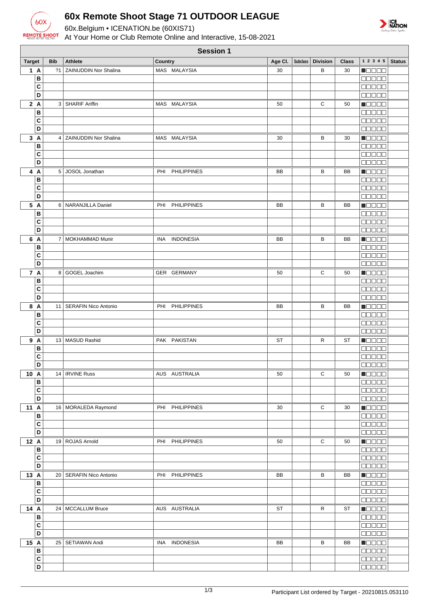

## **60x Remote Shoot Stage 71 OUTDOOR LEAGUE**

60x.Belgium • ICENATION.be (60XIS71)

At Your Home or Club Remote Online and Interactive, 15-08-2021



| <b>Session 1</b> |                         |            |                              |         |                    |           |  |                     |              |                                              |               |
|------------------|-------------------------|------------|------------------------------|---------|--------------------|-----------|--|---------------------|--------------|----------------------------------------------|---------------|
| <b>Target</b>    |                         | <b>Bib</b> | <b>Athlete</b>               | Country |                    | Age Cl.   |  | Subclass   Division | <b>Class</b> | $1\ 2\ 3\ 4\ 5$                              | <b>Status</b> |
|                  | 1A                      | 21         | ZAINUDDIN Nor Shalina        |         | MAS MALAYSIA       | 30        |  | B                   | 30           | HOOOO                                        |               |
|                  | B                       |            |                              |         |                    |           |  |                     |              | 00000                                        |               |
|                  | C                       |            |                              |         |                    |           |  |                     |              | <b>BOOOO</b>                                 |               |
|                  | D                       |            |                              |         |                    |           |  |                     |              | 88888                                        |               |
|                  | 2A                      |            | 3   SHARIF Ariffin           |         | MAS MALAYSIA       | 50        |  | С                   | 50           | HOOOO                                        |               |
|                  | B                       |            |                              |         |                    |           |  |                     |              | 00000                                        |               |
|                  | C                       |            |                              |         |                    |           |  |                     |              | <b>DOD00</b>                                 |               |
|                  | D                       |            |                              |         |                    |           |  |                     |              | <b>00000</b>                                 |               |
|                  | 3A                      | 4          | <b>ZAINUDDIN Nor Shalina</b> |         | MAS MALAYSIA       | 30        |  | В                   | 30           | Maaaa                                        |               |
|                  | В                       |            |                              |         |                    |           |  |                     |              | <b>BEBEE</b>                                 |               |
|                  | C                       |            |                              |         |                    |           |  |                     |              | 00000                                        |               |
|                  | D                       |            |                              |         |                    |           |  |                     |              | 00000                                        |               |
|                  | 4 A                     | 5          | JOSOL Jonathan               | PHI     | <b>PHILIPPINES</b> | BB        |  | B                   | BB           | <b>Recep</b>                                 |               |
|                  | B                       |            |                              |         |                    |           |  |                     |              | <b>MODER</b>                                 |               |
|                  | C<br>D                  |            |                              |         |                    |           |  |                     |              | 88888                                        |               |
|                  |                         |            |                              |         |                    |           |  |                     |              | 00000                                        |               |
|                  | 5 A<br>B                |            | 6 NARANJILLA Daniel          | PHI     | <b>PHILIPPINES</b> | BB        |  | B                   | BB           | <b>H</b> oooo                                |               |
|                  | C                       |            |                              |         |                    |           |  |                     |              | anaan<br>00000                               |               |
|                  | D                       |            |                              |         |                    |           |  |                     |              | 00000                                        |               |
|                  | 6 A                     |            | 7   MOKHAMMAD Munir          |         | INA INDONESIA      | BB        |  | в                   | BB           | <b>RECOR</b>                                 |               |
|                  | B                       |            |                              |         |                    |           |  |                     |              |                                              |               |
|                  | C                       |            |                              |         |                    |           |  |                     |              | <b>00000</b>                                 |               |
|                  | D                       |            |                              |         |                    |           |  |                     |              | 00000                                        |               |
|                  | 7 A                     |            | 8 GOGEL Joachim              |         | GER GERMANY        | 50        |  | С                   | 50           | MOOOC                                        |               |
|                  | в                       |            |                              |         |                    |           |  |                     |              | 00000                                        |               |
|                  | C                       |            |                              |         |                    |           |  |                     |              | <b>00000</b>                                 |               |
|                  | D                       |            |                              |         |                    |           |  |                     |              | 00000                                        |               |
|                  | 8 A                     | 11         | <b>SERAFIN Nico Antonio</b>  |         | PHI PHILIPPINES    | BB        |  | В                   | BB           | $\Box$ $\Box$ $\Box$ $\Box$                  |               |
|                  | B                       |            |                              |         |                    |           |  |                     |              | <b>BBBBB</b>                                 |               |
|                  | C                       |            |                              |         |                    |           |  |                     |              | 88888                                        |               |
|                  | D                       |            |                              |         |                    |           |  |                     |              | 00000                                        |               |
|                  | 9 A                     |            | 13   MASUD Rashid            |         | PAK PAKISTAN       | ST        |  | R                   | <b>ST</b>    | n da da                                      |               |
|                  | B                       |            |                              |         |                    |           |  |                     |              | <b>00000</b>                                 |               |
|                  | C                       |            |                              |         |                    |           |  |                     |              | 00000                                        |               |
|                  | D                       |            |                              |         |                    |           |  |                     |              | 00000                                        |               |
|                  | 10 A                    |            | 14   IRVINE Russ             |         | AUS AUSTRALIA      | 50        |  | С                   | 50           | <b>NOOOO</b>                                 |               |
|                  | B<br>C                  |            |                              |         |                    |           |  |                     |              | <b>00000</b><br>$\Box\Box\Box\Box\Box$       |               |
|                  | D                       |            |                              |         |                    |           |  |                     |              | <b>BBBBB</b>                                 |               |
|                  | 11 A                    |            | 16   MORALEDA Raymond        |         | PHI PHILIPPINES    | 30        |  | C                   | 30           | Macas                                        |               |
|                  | В                       |            |                              |         |                    |           |  |                     |              | $\Box \Box \Box \Box \Box$                   |               |
|                  | C                       |            |                              |         |                    |           |  |                     |              | 00000                                        |               |
|                  | D                       |            |                              |         |                    |           |  |                     |              |                                              |               |
|                  | 12 A                    |            | 19 ROJAS Arnold              |         | PHI PHILIPPINES    | 50        |  | $\mathbf C$         | 50           | Maaaa                                        |               |
|                  | B                       |            |                              |         |                    |           |  |                     |              | $\Box \Box \Box \Box \Box$                   |               |
|                  | C                       |            |                              |         |                    |           |  |                     |              | 00000                                        |               |
|                  | D                       |            |                              |         |                    |           |  |                     |              | $\Box \Box \Box \Box \Box$                   |               |
|                  | 13 A                    |            | 20   SERAFIN Nico Antonio    |         | PHI PHILIPPINES    | BB        |  | В                   | BB           | <b>Reces</b>                                 |               |
|                  | B                       |            |                              |         |                    |           |  |                     |              | $\Box \Box \Box \Box \Box$                   |               |
|                  | C                       |            |                              |         |                    |           |  |                     |              | <b>BBBBB</b>                                 |               |
|                  | D                       |            |                              |         |                    |           |  |                     |              | 00000                                        |               |
|                  | 14 A                    |            | 24   MCCALLUM Bruce          |         | AUS AUSTRALIA      | <b>ST</b> |  | R                   | ST           | <b>NOOOO</b>                                 |               |
|                  | B                       |            |                              |         |                    |           |  |                     |              | $\Box$ $\Box$ $\Box$ $\Box$                  |               |
|                  | C<br>D                  |            |                              |         |                    |           |  |                     |              | <b>BEBEE</b><br>$\Box$                       |               |
|                  |                         |            |                              |         |                    |           |  |                     |              |                                              |               |
|                  | 15 A<br>$\, {\bf B}$    |            | 25   SETIAWAN Andi           |         | INA INDONESIA      | BB        |  | в                   | BB           | $\blacksquare$ $\blacksquare$ $\blacksquare$ |               |
|                  | $\overline{\mathbf{c}}$ |            |                              |         |                    |           |  |                     |              | 00000<br><b>BBBBB</b>                        |               |
|                  | D                       |            |                              |         |                    |           |  |                     |              | $\Box \Box \Box \Box \Box$                   |               |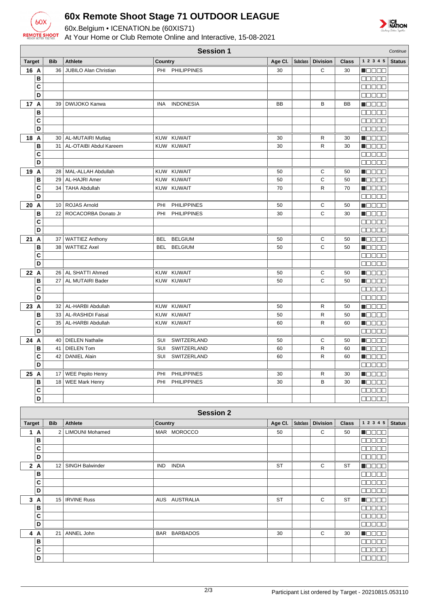

## **60x Remote Shoot Stage 71 OUTDOOR LEAGUE**

60x.Belgium • ICENATION.be (60XIS71)

At Your Home or Club Remote Online and Interactive, 15-08-2021



| <b>Session 1</b><br>Continue |            |                              |                           |           |                 |                 |              |                                                                      |               |
|------------------------------|------------|------------------------------|---------------------------|-----------|-----------------|-----------------|--------------|----------------------------------------------------------------------|---------------|
| <b>Target</b>                | <b>Bib</b> | <b>Athlete</b>               | Country                   | Age Cl.   | <b>Subclass</b> | <b>Division</b> | <b>Class</b> | 1 2 3 4 5                                                            | <b>Status</b> |
| 16 A                         | 36         | <b>JUBILO Alan Christian</b> | PHI PHILIPPINES           | 30        |                 | С               | 30           | Maaaa                                                                |               |
| B                            |            |                              |                           |           |                 |                 |              | MO DE E                                                              |               |
| C                            |            |                              |                           |           |                 |                 |              | 80000                                                                |               |
| D                            |            |                              |                           |           |                 |                 |              | 80000                                                                |               |
| 17 A                         |            | 39   DWIJOKO Kanwa           | INA INDONESIA             | <b>BB</b> |                 | B               | <b>BB</b>    | n Els Els                                                            |               |
| B                            |            |                              |                           |           |                 |                 |              | 00000                                                                |               |
| C                            |            |                              |                           |           |                 |                 |              | 00000                                                                |               |
| D                            |            |                              |                           |           |                 |                 |              | <b>BBBBB</b>                                                         |               |
|                              |            |                              |                           |           |                 |                 |              |                                                                      |               |
| 18 A                         |            | 30   AL-MUTAIRI Mutlaq       | KUW KUWAIT                | 30        |                 | R               | 30           | MOO OO                                                               |               |
| B                            |            | 31   AL-OTAIBI Abdul Kareem  | KUW KUWAIT                | 30        |                 | R               | 30           | Maaaa                                                                |               |
| C                            |            |                              |                           |           |                 |                 |              | $\Box$ $\Box$ $\Box$ $\Box$ $\Box$                                   |               |
| D                            |            |                              |                           |           |                 |                 |              | <b>00000</b>                                                         |               |
| 19 A                         |            | 28   MAL-ALLAH Abdullah      | KUW KUWAIT                | 50        |                 | С               | 50           | <b>MOOOO</b>                                                         |               |
| B                            |            | 29   AL-HAJRI Amer           | KUW KUWAIT                | 50        |                 | C               | 50           | <u>maaaa</u>                                                         |               |
| C                            |            | 34   TAHA Abdullah           | KUW KUWAIT                | 70        |                 | R               | 70           | <b>M</b> OOOO                                                        |               |
| D                            |            |                              |                           |           |                 |                 |              | <b>00000</b>                                                         |               |
| 20 A                         |            | 10 ROJAS Arnold              | <b>PHILIPPINES</b><br>PHI | 50        |                 | С               | 50           | <b>NOOCO</b>                                                         |               |
| B                            |            | 22   ROCACORBA Donato Jr     | PHI<br><b>PHILIPPINES</b> | 30        |                 | C               | 30           | MOOOO                                                                |               |
| $\mathbf{C}$                 |            |                              |                           |           |                 |                 |              | 00000                                                                |               |
| D                            |            |                              |                           |           |                 |                 |              | 00000                                                                |               |
| 21 A                         |            | 37 WATTIEZ Anthony           | BEL<br><b>BELGIUM</b>     | 50        |                 | С               | 50           | <b>Manag</b>                                                         |               |
| B                            |            | 38   WATTIEZ Axel            | BEL BELGIUM               | 50        |                 | C               | 50           | MODE O                                                               |               |
| C                            |            |                              |                           |           |                 |                 |              | 80000                                                                |               |
| D                            |            |                              |                           |           |                 |                 |              | 00000                                                                |               |
| 22 A                         |            | 26   AL SHATTI Ahmed         | KUW KUWAIT                | 50        |                 | С               | 50           | n Els Els                                                            |               |
| B                            |            | 27   AL MUTAIRI Bader        | KUW KUWAIT                | 50        |                 | C               | 50           | N BERT                                                               |               |
| C                            |            |                              |                           |           |                 |                 |              | an da a                                                              |               |
| D                            |            |                              |                           |           |                 |                 |              | 00000                                                                |               |
|                              |            |                              |                           |           |                 |                 |              |                                                                      |               |
| 23 A                         |            | 32   AL-HARBI Abdullah       | KUW KUWAIT                | 50        |                 | R               | 50           | MOO OO                                                               |               |
| B                            |            | 33   AL-RASHIDI Faisal       | KUW KUWAIT                | 50        |                 | R               | 50           | MOOO O                                                               |               |
| C                            |            | 35   AL-HARBI Abdullah       | KUW KUWAIT                | 60        |                 | R               | 60           | <b>MODOO</b>                                                         |               |
| D                            |            |                              |                           |           |                 |                 |              | 00000                                                                |               |
| 24 A                         |            | 40   DIELEN Nathalie         | SUI SWITZERLAND           | 50        |                 | С               | 50           | <b>MOOOO</b>                                                         |               |
| B                            | 41         | <b>DIELEN Tom</b>            | SWITZERLAND<br>SUI        | 60        |                 | R               | 60           | Maaaa                                                                |               |
| C                            | 42         | <b>DANIEL Alain</b>          | SUI SWITZERLAND           | 60        |                 | R               | 60           | Maaaa                                                                |               |
| D                            |            |                              |                           |           |                 |                 |              | 00000                                                                |               |
| 25 A                         |            | 17   WEE Pepito Henry        | PHI<br><b>PHILIPPINES</b> | 30        |                 | R               | 30           | $\blacksquare$                                                       |               |
| B                            |            | 18 WEE Mark Henry            | <b>PHILIPPINES</b><br>PHI | 30        |                 | В               | 30           | $\blacksquare$ $\blacksquare$ $\blacksquare$ $\blacksquare$          |               |
| $\overline{c}$               |            |                              |                           |           |                 |                 |              | 00000                                                                |               |
| $\overline{\mathsf{D}}$      |            |                              |                           |           |                 |                 |              | <b>00000</b>                                                         |               |
|                              |            |                              |                           |           |                 |                 |              |                                                                      |               |
|                              |            |                              | <b>Session 2</b>          |           |                 |                 |              |                                                                      |               |
| <b>Target</b>                | <b>Bib</b> | Athlete                      | Country                   | Age Cl.   | <b>Subclass</b> | <b>Division</b> | <b>Class</b> | $1\ 2\ 3\ 4\ 5$                                                      | <b>Status</b> |
| 1A                           |            | 2   LIMOUNI Mohamed          | MAR MOROCCO               | 50        |                 | C               | 50           | Maaaa                                                                |               |
| B                            |            |                              |                           |           |                 |                 |              | 00000                                                                |               |
| C                            |            |                              |                           |           |                 |                 |              | <b>00000</b>                                                         |               |
| D                            |            |                              |                           |           |                 |                 |              | 00000                                                                |               |
| 2A                           |            | 12   SINGH Balwinder         | IND INDIA                 | ST        |                 | $\mathbf C$     | ST           | $\blacksquare$ $\square$ $\square$ $\blacksquare$                    |               |
| B                            |            |                              |                           |           |                 |                 |              | <b>00000</b>                                                         |               |
| C                            |            |                              |                           |           |                 |                 |              | 00000                                                                |               |
| D                            |            |                              |                           |           |                 |                 |              | 00000                                                                |               |
| 3A                           |            | 15   IRVINE Russ             | AUS AUSTRALIA             | <b>ST</b> |                 | С               | ST           | $\blacksquare$                                                       |               |
| B                            |            |                              |                           |           |                 |                 |              | <b>00000</b>                                                         |               |
| C                            |            |                              |                           |           |                 |                 |              | <b>00000</b>                                                         |               |
| $\overline{D}$               |            |                              |                           |           |                 |                 |              | <b>00000</b>                                                         |               |
|                              |            | 21   ANNEL John              | BAR BARBADOS              | 30        |                 | $\mathbf C$     | 30           |                                                                      |               |
| 4 A<br>B                     |            |                              |                           |           |                 |                 |              | $\blacksquare$ $\blacksquare$ $\blacksquare$ $\blacksquare$<br>00000 |               |
|                              |            |                              |                           |           |                 |                 |              |                                                                      |               |
| $\mathbf c$                  |            |                              |                           |           |                 |                 |              | 00000                                                                |               |
| D                            |            |                              |                           |           |                 |                 |              | <b>00000</b>                                                         |               |